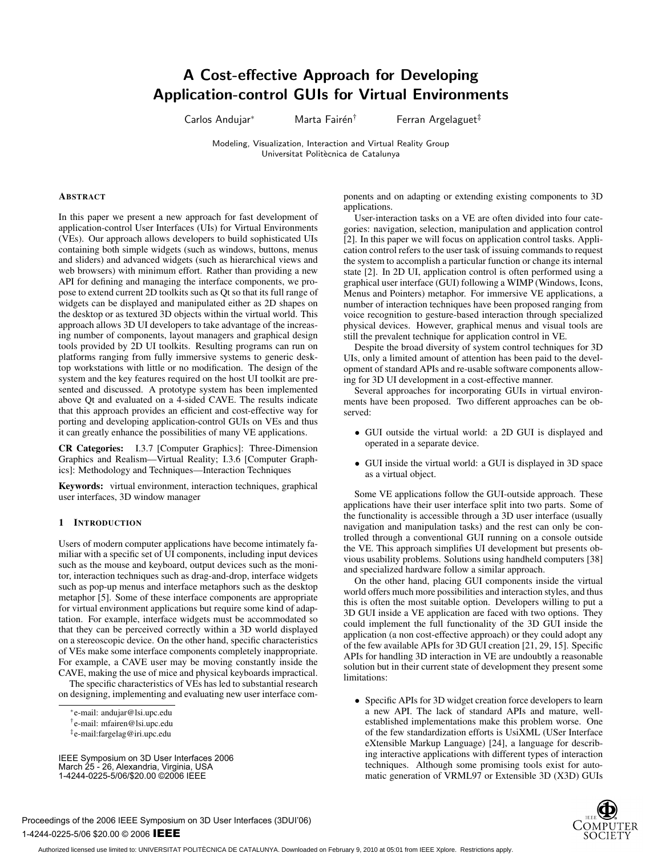# **A Cost-effective Approach for Developing Application-control GUIs for Virtual Environments**

 $\mathsf{Carlos}$  Andujar $^*$  Marta Fairén $^\dagger$  Ferran Argelaguet $^\ddagger$ 

Modeling, Visualization, Interaction and Virtual Reality Group Universitat Politècnica de Catalunya

## ABSTRACT

In this paper we present a new approach for fast development of application-control User Interfaces (UIs) for Virtual Environments (VEs). Our approach allows developers to build sophisticated UIs containing both simple widgets (such as windows, buttons, menus and sliders) and advanced widgets (such as hierarchical views and web browsers) with minimum effort. Rather than providing a new API for defining and managing the interface components, we propose to extend current 2D toolkits such as Qt so that its full range of widgets can be displayed and manipulated either as 2D shapes on the desktop or as textured 3D objects within the virtual world. This approach allows 3D UI developers to take advantage of the increasing number of components, layout managers and graphical design tools provided by 2D UI toolkits. Resulting programs can run on platforms ranging from fully immersive systems to generic desktop workstations with little or no modification. The design of the system and the key features required on the host UI toolkit are presented and discussed. A prototype system has been implemented above Qt and evaluated on a 4-sided CAVE. The results indicate that this approach provides an efficient and cost-effective way for porting and developing application-control GUIs on VEs and thus it can greatly enhance the possibilities of many VE applications.

CR Categories: I.3.7 [Computer Graphics]: Three-Dimension Graphics and Realism—Virtual Reality; I.3.6 [Computer Graphics]: Methodology and Techniques—Interaction Techniques

Keywords: virtual environment, interaction techniques, graphical user interfaces, 3D window manager

## 1 INTRODUCTION

Users of modern computer applications have become intimately familiar with a specific set of UI components, including input devices such as the mouse and keyboard, output devices such as the monitor, interaction techniques such as drag-and-drop, interface widgets such as pop-up menus and interface metaphors such as the desktop metaphor [5]. Some of these interface components are appropriate for virtual environment applications but require some kind of adaptation. For example, interface widgets must be accommodated so that they can be perceived correctly within a 3D world displayed on a stereoscopic device. On the other hand, specific characteristics of VEs make some interface components completely inappropriate. For example, a CAVE user may be moving constantly inside the CAVE, making the use of mice and physical keyboards impractical.

The specific characteristics of VEs has led to substantial research on designing, implementing and evaluating new user interface com-

∗e-mail: andujar@lsi.upc.edu

IEEE Symposium on 3D User Interfaces 2006 March 25 - 26, Alexandria, Virginia, USA 1-4244-0225-5/06/\$20.00 ©2006 IEEE

ponents and on adapting or extending existing components to 3D applications.

User-interaction tasks on a VE are often divided into four categories: navigation, selection, manipulation and application control [2]. In this paper we will focus on application control tasks. Application control refers to the user task of issuing commands to request the system to accomplish a particular function or change its internal state [2]. In 2D UI, application control is often performed using a graphical user interface (GUI) following a WIMP (Windows, Icons, Menus and Pointers) metaphor. For immersive VE applications, a number of interaction techniques have been proposed ranging from voice recognition to gesture-based interaction through specialized physical devices. However, graphical menus and visual tools are still the prevalent technique for application control in VE.

Despite the broad diversity of system control techniques for 3D UIs, only a limited amount of attention has been paid to the development of standard APIs and re-usable software components allowing for 3D UI development in a cost-effective manner.

Several approaches for incorporating GUIs in virtual environments have been proposed. Two different approaches can be observed:

- GUI outside the virtual world: a 2D GUI is displayed and operated in a separate device.
- GUI inside the virtual world: a GUI is displayed in 3D space as a virtual object.

Some VE applications follow the GUI-outside approach. These applications have their user interface split into two parts. Some of the functionality is accessible through a 3D user interface (usually navigation and manipulation tasks) and the rest can only be controlled through a conventional GUI running on a console outside the VE. This approach simplifies UI development but presents obvious usability problems. Solutions using handheld computers [38] and specialized hardware follow a similar approach.

On the other hand, placing GUI components inside the virtual world offers much more possibilities and interaction styles, and thus this is often the most suitable option. Developers willing to put a 3D GUI inside a VE application are faced with two options. They could implement the full functionality of the 3D GUI inside the application (a non cost-effective approach) or they could adopt any of the few available APIs for 3D GUI creation [21, 29, 15]. Specific APIs for handling 3D interaction in VE are undoubtly a reasonable solution but in their current state of development they present some limitations:

• Specific APIs for 3D widget creation force developers to learn a new API. The lack of standard APIs and mature, wellestablished implementations make this problem worse. One of the few standardization efforts is UsiXML (USer Interface eXtensible Markup Language) [24], a language for describing interactive applications with different types of interaction techniques. Although some promising tools exist for automatic generation of VRML97 or Extensible 3D (X3D) GUIs



Proceedings of the 2006 IEEE Symposium on 3D User Interfaces (3DUI'06)

<sup>†</sup>e-mail: mfairen@lsi.upc.edu

<sup>‡</sup>e-mail:fargelag@iri.upc.edu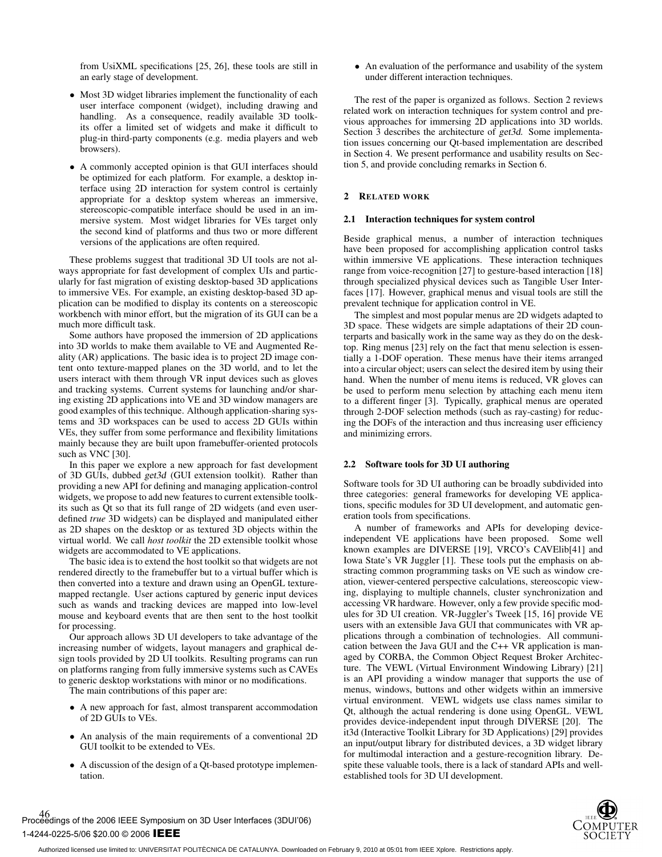from UsiXML specifications [25, 26], these tools are still in an early stage of development.

- Most 3D widget libraries implement the functionality of each user interface component (widget), including drawing and handling. As a consequence, readily available 3D toolkits offer a limited set of widgets and make it difficult to plug-in third-party components (e.g. media players and web browsers).
- A commonly accepted opinion is that GUI interfaces should be optimized for each platform. For example, a desktop interface using 2D interaction for system control is certainly appropriate for a desktop system whereas an immersive, stereoscopic-compatible interface should be used in an immersive system. Most widget libraries for VEs target only the second kind of platforms and thus two or more different versions of the applications are often required.

These problems suggest that traditional 3D UI tools are not always appropriate for fast development of complex UIs and particularly for fast migration of existing desktop-based 3D applications to immersive VEs. For example, an existing desktop-based 3D application can be modified to display its contents on a stereoscopic workbench with minor effort, but the migration of its GUI can be a much more difficult task.

Some authors have proposed the immersion of 2D applications into 3D worlds to make them available to VE and Augmented Reality (AR) applications. The basic idea is to project 2D image content onto texture-mapped planes on the 3D world, and to let the users interact with them through VR input devices such as gloves and tracking systems. Current systems for launching and/or sharing existing 2D applications into VE and 3D window managers are good examples of this technique. Although application-sharing systems and 3D workspaces can be used to access 2D GUIs within VEs, they suffer from some performance and flexibility limitations mainly because they are built upon framebuffer-oriented protocols such as VNC [30].

In this paper we explore a new approach for fast development of 3D GUIs, dubbed get3d (GUI extension toolkit). Rather than providing a new API for defining and managing application-control widgets, we propose to add new features to current extensible toolkits such as Qt so that its full range of 2D widgets (and even userdefined *true* 3D widgets) can be displayed and manipulated either as 2D shapes on the desktop or as textured 3D objects within the virtual world. We call *host toolkit* the 2D extensible toolkit whose widgets are accommodated to VE applications.

The basic idea is to extend the host toolkit so that widgets are not rendered directly to the framebuffer but to a virtual buffer which is then converted into a texture and drawn using an OpenGL texturemapped rectangle. User actions captured by generic input devices such as wands and tracking devices are mapped into low-level mouse and keyboard events that are then sent to the host toolkit for processing.

Our approach allows 3D UI developers to take advantage of the increasing number of widgets, layout managers and graphical design tools provided by 2D UI toolkits. Resulting programs can run on platforms ranging from fully immersive systems such as CAVEs to generic desktop workstations with minor or no modifications.

The main contributions of this paper are:

- A new approach for fast, almost transparent accommodation of 2D GUIs to VEs.
- An analysis of the main requirements of a conventional 2D GUI toolkit to be extended to VEs.
- A discussion of the design of a Qt-based prototype implementation.

• An evaluation of the performance and usability of the system under different interaction techniques.

The rest of the paper is organized as follows. Section 2 reviews related work on interaction techniques for system control and previous approaches for immersing 2D applications into 3D worlds. Section 3 describes the architecture of get3d. Some implementation issues concerning our Qt-based implementation are described in Section 4. We present performance and usability results on Section 5, and provide concluding remarks in Section 6.

## 2 RELATED WORK

## 2.1 Interaction techniques for system control

Beside graphical menus, a number of interaction techniques have been proposed for accomplishing application control tasks within immersive VE applications. These interaction techniques range from voice-recognition [27] to gesture-based interaction [18] through specialized physical devices such as Tangible User Interfaces [17]. However, graphical menus and visual tools are still the prevalent technique for application control in VE.

The simplest and most popular menus are 2D widgets adapted to 3D space. These widgets are simple adaptations of their 2D counterparts and basically work in the same way as they do on the desktop. Ring menus [23] rely on the fact that menu selection is essentially a 1-DOF operation. These menus have their items arranged into a circular object; users can select the desired item by using their hand. When the number of menu items is reduced, VR gloves can be used to perform menu selection by attaching each menu item to a different finger [3]. Typically, graphical menus are operated through 2-DOF selection methods (such as ray-casting) for reducing the DOFs of the interaction and thus increasing user efficiency and minimizing errors.

## 2.2 Software tools for 3D UI authoring

Software tools for 3D UI authoring can be broadly subdivided into three categories: general frameworks for developing VE applications, specific modules for 3D UI development, and automatic generation tools from specifications.

A number of frameworks and APIs for developing deviceindependent VE applications have been proposed. Some well known examples are DIVERSE [19], VRCO's CAVElib[41] and Iowa State's VR Juggler [1]. These tools put the emphasis on abstracting common programming tasks on VE such as window creation, viewer-centered perspective calculations, stereoscopic viewing, displaying to multiple channels, cluster synchronization and accessing VR hardware. However, only a few provide specific modules for 3D UI creation. VR-Juggler's Tweek [15, 16] provide VE users with an extensible Java GUI that communicates with VR applications through a combination of technologies. All communication between the Java GUI and the C++ VR application is managed by CORBA, the Common Object Request Broker Architecture. The VEWL (Virtual Environment Windowing Library) [21] is an API providing a window manager that supports the use of menus, windows, buttons and other widgets within an immersive virtual environment. VEWL widgets use class names similar to Qt, although the actual rendering is done using OpenGL. VEWL provides device-independent input through DIVERSE [20]. The it3d (Interactive Toolkit Library for 3D Applications) [29] provides an input/output library for distributed devices, a 3D widget library for multimodal interaction and a gesture-recognition library. Despite these valuable tools, there is a lack of standard APIs and wellestablished tools for 3D UI development.



<sup>46</sup> Proceedings of the 2006 IEEE Symposium on 3D User Interfaces (3DUI'06) 1-4244-0225-5/06 \$20.00 © 2006 IEEE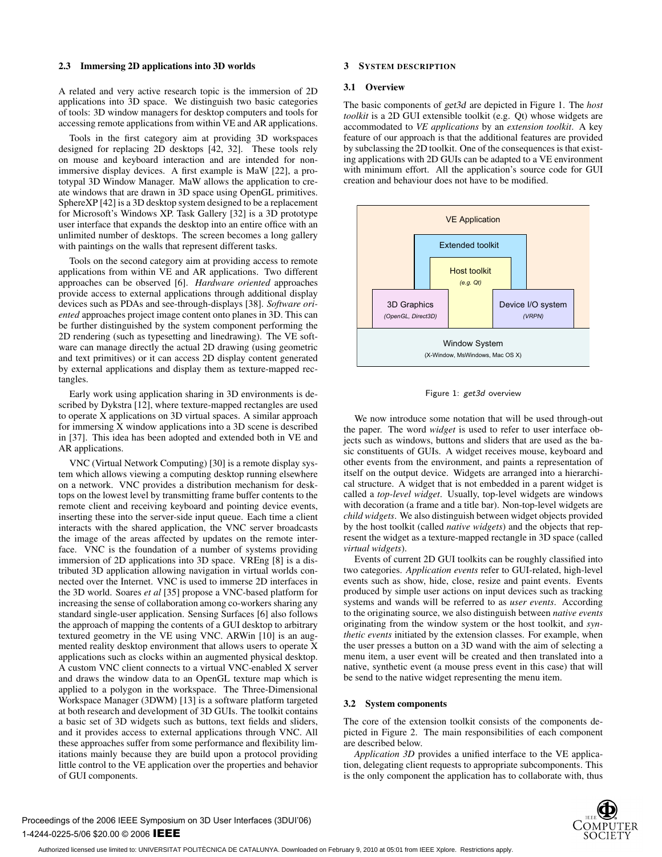#### 2.3 Immersing 2D applications into 3D worlds

A related and very active research topic is the immersion of 2D applications into 3D space. We distinguish two basic categories of tools: 3D window managers for desktop computers and tools for accessing remote applications from within VE and AR applications.

Tools in the first category aim at providing 3D workspaces designed for replacing 2D desktops [42, 32]. These tools rely on mouse and keyboard interaction and are intended for nonimmersive display devices. A first example is MaW [22], a prototypal 3D Window Manager. MaW allows the application to create windows that are drawn in 3D space using OpenGL primitives. SphereXP [42] is a 3D desktop system designed to be a replacement for Microsoft's Windows XP. Task Gallery [32] is a 3D prototype user interface that expands the desktop into an entire office with an unlimited number of desktops. The screen becomes a long gallery with paintings on the walls that represent different tasks.

Tools on the second category aim at providing access to remote applications from within VE and AR applications. Two different approaches can be observed [6]. *Hardware oriented* approaches provide access to external applications through additional display devices such as PDAs and see-through-displays [38]. *Software oriented* approaches project image content onto planes in 3D. This can be further distinguished by the system component performing the 2D rendering (such as typesetting and linedrawing). The VE software can manage directly the actual 2D drawing (using geometric and text primitives) or it can access 2D display content generated by external applications and display them as texture-mapped rectangles.

Early work using application sharing in 3D environments is described by Dykstra [12], where texture-mapped rectangles are used to operate X applications on 3D virtual spaces. A similar approach for immersing X window applications into a 3D scene is described in [37]. This idea has been adopted and extended both in VE and AR applications.

VNC (Virtual Network Computing) [30] is a remote display system which allows viewing a computing desktop running elsewhere on a network. VNC provides a distribution mechanism for desktops on the lowest level by transmitting frame buffer contents to the remote client and receiving keyboard and pointing device events, inserting these into the server-side input queue. Each time a client interacts with the shared application, the VNC server broadcasts the image of the areas affected by updates on the remote interface. VNC is the foundation of a number of systems providing immersion of 2D applications into 3D space. VREng [8] is a distributed 3D application allowing navigation in virtual worlds connected over the Internet. VNC is used to immerse 2D interfaces in the 3D world. Soares *et al* [35] propose a VNC-based platform for increasing the sense of collaboration among co-workers sharing any standard single-user application. Sensing Surfaces [6] also follows the approach of mapping the contents of a GUI desktop to arbitrary textured geometry in the VE using VNC. ARWin [10] is an augmented reality desktop environment that allows users to operate X applications such as clocks within an augmented physical desktop. A custom VNC client connects to a virtual VNC-enabled X server and draws the window data to an OpenGL texture map which is applied to a polygon in the workspace. The Three-Dimensional Workspace Manager (3DWM) [13] is a software platform targeted at both research and development of 3D GUIs. The toolkit contains a basic set of 3D widgets such as buttons, text fields and sliders, and it provides access to external applications through VNC. All these approaches suffer from some performance and flexibility limitations mainly because they are build upon a protocol providing little control to the VE application over the properties and behavior of GUI components.

## 3 SYSTEM DESCRIPTION

#### 3.1 Overview

The basic components of get3d are depicted in Figure 1. The *host toolkit* is a 2D GUI extensible toolkit (e.g. Qt) whose widgets are accommodated to *VE applications* by an *extension toolkit*. A key feature of our approach is that the additional features are provided by subclassing the 2D toolkit. One of the consequences is that existing applications with 2D GUIs can be adapted to a VE environment with minimum effort. All the application's source code for GUI creation and behaviour does not have to be modified.



#### Figure 1: get3d overview

We now introduce some notation that will be used through-out the paper. The word *widget* is used to refer to user interface objects such as windows, buttons and sliders that are used as the basic constituents of GUIs. A widget receives mouse, keyboard and other events from the environment, and paints a representation of itself on the output device. Widgets are arranged into a hierarchical structure. A widget that is not embedded in a parent widget is called a *top-level widget*. Usually, top-level widgets are windows with decoration (a frame and a title bar). Non-top-level widgets are *child widgets*. We also distinguish between widget objects provided by the host toolkit (called *native widgets*) and the objects that represent the widget as a texture-mapped rectangle in 3D space (called *virtual widgets*).

Events of current 2D GUI toolkits can be roughly classified into two categories. *Application events* refer to GUI-related, high-level events such as show, hide, close, resize and paint events. Events produced by simple user actions on input devices such as tracking systems and wands will be referred to as *user events*. According to the originating source, we also distinguish between *native events* originating from the window system or the host toolkit, and *synthetic events* initiated by the extension classes. For example, when the user presses a button on a 3D wand with the aim of selecting a menu item, a user event will be created and then translated into a native, synthetic event (a mouse press event in this case) that will be send to the native widget representing the menu item.

## 3.2 System components

The core of the extension toolkit consists of the components depicted in Figure 2. The main responsibilities of each component are described below.

*Application 3D* provides a unified interface to the VE application, delegating client requests to appropriate subcomponents. This is the only component the application has to collaborate with, thus

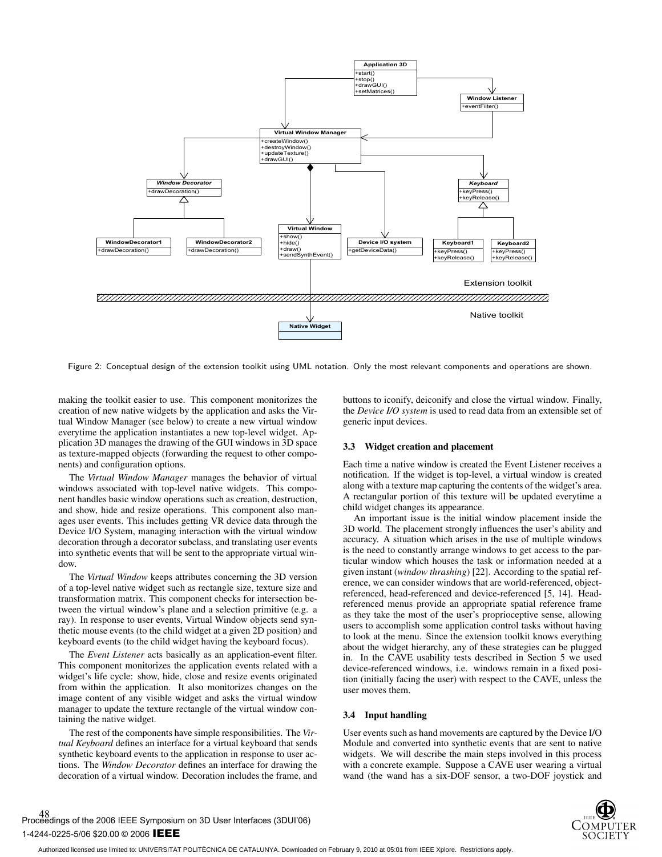

Figure 2: Conceptual design of the extension toolkit using UML notation. Only the most relevant components and operations are shown.

making the toolkit easier to use. This component monitorizes the creation of new native widgets by the application and asks the Virtual Window Manager (see below) to create a new virtual window everytime the application instantiates a new top-level widget. Application 3D manages the drawing of the GUI windows in 3D space as texture-mapped objects (forwarding the request to other components) and configuration options.

The *Virtual Window Manager* manages the behavior of virtual windows associated with top-level native widgets. This component handles basic window operations such as creation, destruction, and show, hide and resize operations. This component also manages user events. This includes getting VR device data through the Device I/O System, managing interaction with the virtual window decoration through a decorator subclass, and translating user events into synthetic events that will be sent to the appropriate virtual window.

The *Virtual Window* keeps attributes concerning the 3D version of a top-level native widget such as rectangle size, texture size and transformation matrix. This component checks for intersection between the virtual window's plane and a selection primitive (e.g. a ray). In response to user events, Virtual Window objects send synthetic mouse events (to the child widget at a given 2D position) and keyboard events (to the child widget having the keyboard focus).

The *Event Listener* acts basically as an application-event filter. This component monitorizes the application events related with a widget's life cycle: show, hide, close and resize events originated from within the application. It also monitorizes changes on the image content of any visible widget and asks the virtual window manager to update the texture rectangle of the virtual window containing the native widget.

The rest of the components have simple responsibilities. The *Virtual Keyboard* defines an interface for a virtual keyboard that sends synthetic keyboard events to the application in response to user actions. The *Window Decorator* defines an interface for drawing the decoration of a virtual window. Decoration includes the frame, and buttons to iconify, deiconify and close the virtual window. Finally, the *Device I/O system* is used to read data from an extensible set of generic input devices.

## 3.3 Widget creation and placement

Each time a native window is created the Event Listener receives a notification. If the widget is top-level, a virtual window is created along with a texture map capturing the contents of the widget's area. A rectangular portion of this texture will be updated everytime a child widget changes its appearance.

An important issue is the initial window placement inside the 3D world. The placement strongly influences the user's ability and accuracy. A situation which arises in the use of multiple windows is the need to constantly arrange windows to get access to the particular window which houses the task or information needed at a given instant (*window thrashing*) [22]. According to the spatial reference, we can consider windows that are world-referenced, objectreferenced, head-referenced and device-referenced [5, 14]. Headreferenced menus provide an appropriate spatial reference frame as they take the most of the user's proprioceptive sense, allowing users to accomplish some application control tasks without having to look at the menu. Since the extension toolkit knows everything about the widget hierarchy, any of these strategies can be plugged in. In the CAVE usability tests described in Section 5 we used device-referenced windows, i.e. windows remain in a fixed position (initially facing the user) with respect to the CAVE, unless the user moves them.

## 3.4 Input handling

User events such as hand movements are captured by the Device I/O Module and converted into synthetic events that are sent to native widgets. We will describe the main steps involved in this process with a concrete example. Suppose a CAVE user wearing a virtual wand (the wand has a six-DOF sensor, a two-DOF joystick and



<sup>48</sup> Proceedings of the 2006 IEEE Symposium on 3D User Interfaces (3DUI'06) 1-4244-0225-5/06 \$20.00 © 2006 IEEE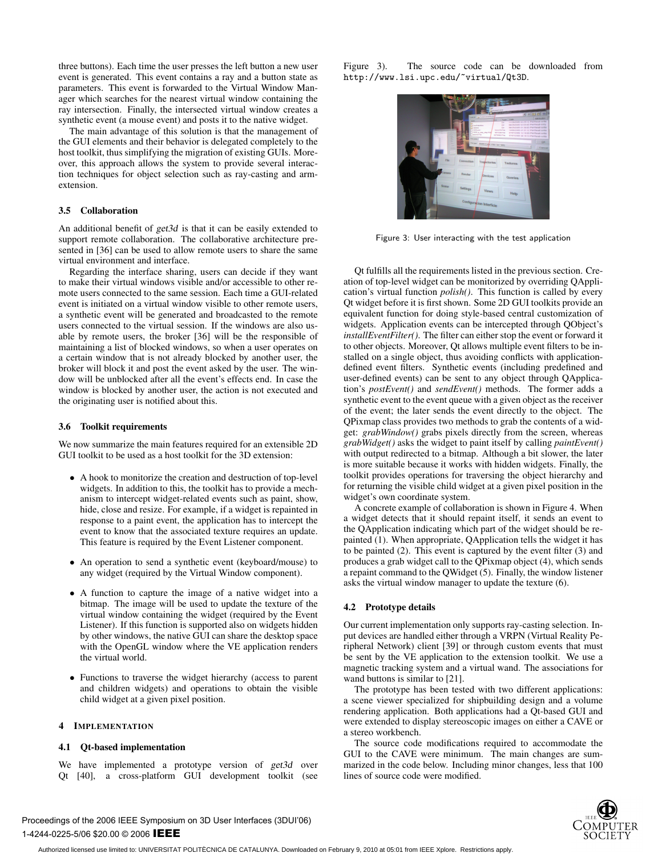three buttons). Each time the user presses the left button a new user event is generated. This event contains a ray and a button state as parameters. This event is forwarded to the Virtual Window Manager which searches for the nearest virtual window containing the ray intersection. Finally, the intersected virtual window creates a synthetic event (a mouse event) and posts it to the native widget.

The main advantage of this solution is that the management of the GUI elements and their behavior is delegated completely to the host toolkit, thus simplifying the migration of existing GUIs. Moreover, this approach allows the system to provide several interaction techniques for object selection such as ray-casting and armextension.

### 3.5 Collaboration

An additional benefit of get3d is that it can be easily extended to support remote collaboration. The collaborative architecture presented in [36] can be used to allow remote users to share the same virtual environment and interface.

Regarding the interface sharing, users can decide if they want to make their virtual windows visible and/or accessible to other remote users connected to the same session. Each time a GUI-related event is initiated on a virtual window visible to other remote users, a synthetic event will be generated and broadcasted to the remote users connected to the virtual session. If the windows are also usable by remote users, the broker [36] will be the responsible of maintaining a list of blocked windows, so when a user operates on a certain window that is not already blocked by another user, the broker will block it and post the event asked by the user. The window will be unblocked after all the event's effects end. In case the window is blocked by another user, the action is not executed and the originating user is notified about this.

#### 3.6 Toolkit requirements

We now summarize the main features required for an extensible 2D GUI toolkit to be used as a host toolkit for the 3D extension:

- A hook to monitorize the creation and destruction of top-level widgets. In addition to this, the toolkit has to provide a mechanism to intercept widget-related events such as paint, show, hide, close and resize. For example, if a widget is repainted in response to a paint event, the application has to intercept the event to know that the associated texture requires an update. This feature is required by the Event Listener component.
- An operation to send a synthetic event (keyboard/mouse) to any widget (required by the Virtual Window component).
- A function to capture the image of a native widget into a bitmap. The image will be used to update the texture of the virtual window containing the widget (required by the Event Listener). If this function is supported also on widgets hidden by other windows, the native GUI can share the desktop space with the OpenGL window where the VE application renders the virtual world.
- Functions to traverse the widget hierarchy (access to parent and children widgets) and operations to obtain the visible child widget at a given pixel position.

## 4 IMPLEMENTATION

## 4.1 Qt-based implementation

We have implemented a prototype version of get3d over Qt [40], a cross-platform GUI development toolkit (see

Figure 3). The source code can be downloaded from http://www.lsi.upc.edu/~virtual/Qt3D.



Figure 3: User interacting with the test application

Qt fulfills all the requirements listed in the previous section. Creation of top-level widget can be monitorized by overriding QApplication's virtual function *polish()*. This function is called by every Qt widget before it is first shown. Some 2D GUI toolkits provide an equivalent function for doing style-based central customization of widgets. Application events can be intercepted through QObject's *installEventFilter()*. The filter can either stop the event or forward it to other objects. Moreover, Qt allows multiple event filters to be installed on a single object, thus avoiding conflicts with applicationdefined event filters. Synthetic events (including predefined and user-defined events) can be sent to any object through QApplication's *postEvent()* and *sendEvent()* methods. The former adds a synthetic event to the event queue with a given object as the receiver of the event; the later sends the event directly to the object. The QPixmap class provides two methods to grab the contents of a widget: *grabWindow()* grabs pixels directly from the screen, whereas *grabWidget()* asks the widget to paint itself by calling *paintEvent()* with output redirected to a bitmap. Although a bit slower, the later is more suitable because it works with hidden widgets. Finally, the toolkit provides operations for traversing the object hierarchy and for returning the visible child widget at a given pixel position in the widget's own coordinate system.

A concrete example of collaboration is shown in Figure 4. When a widget detects that it should repaint itself, it sends an event to the QApplication indicating which part of the widget should be repainted (1). When appropriate, QApplication tells the widget it has to be painted (2). This event is captured by the event filter (3) and produces a grab widget call to the QPixmap object (4), which sends a repaint command to the QWidget (5). Finally, the window listener asks the virtual window manager to update the texture (6).

## 4.2 Prototype details

Our current implementation only supports ray-casting selection. Input devices are handled either through a VRPN (Virtual Reality Peripheral Network) client [39] or through custom events that must be sent by the VE application to the extension toolkit. We use a magnetic tracking system and a virtual wand. The associations for wand buttons is similar to [21].

The prototype has been tested with two different applications: a scene viewer specialized for shipbuilding design and a volume rendering application. Both applications had a Qt-based GUI and were extended to display stereoscopic images on either a CAVE or a stereo workbench.

The source code modifications required to accommodate the GUI to the CAVE were minimum. The main changes are summarized in the code below. Including minor changes, less that 100 lines of source code were modified.

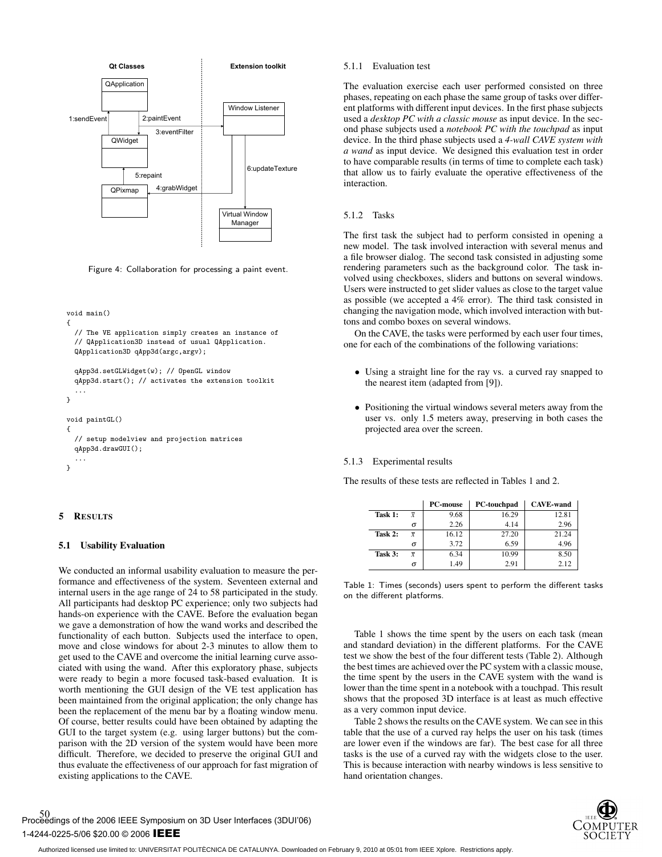

Figure 4: Collaboration for processing a paint event.

```
void main()
{
  // The VE application simply creates an instance of
  // QApplication3D instead of usual QApplication.
  QApplication3D qApp3d(argc,argv);
  qApp3d.setGLWidget(w); // OpenGL window
  qApp3d.start(); // activates the extension toolkit
  ...
}
void paintGL()
{
  // setup modelview and projection matrices
  qApp3d.drawGUI();
  ...
}
```
## 5 RESULTS

## 5.1 Usability Evaluation

We conducted an informal usability evaluation to measure the performance and effectiveness of the system. Seventeen external and internal users in the age range of 24 to 58 participated in the study. All participants had desktop PC experience; only two subjects had hands-on experience with the CAVE. Before the evaluation began we gave a demonstration of how the wand works and described the functionality of each button. Subjects used the interface to open, move and close windows for about 2-3 minutes to allow them to get used to the CAVE and overcome the initial learning curve associated with using the wand. After this exploratory phase, subjects were ready to begin a more focused task-based evaluation. It is worth mentioning the GUI design of the VE test application has been maintained from the original application; the only change has been the replacement of the menu bar by a floating window menu. Of course, better results could have been obtained by adapting the GUI to the target system (e.g. using larger buttons) but the comparison with the 2D version of the system would have been more difficult. Therefore, we decided to preserve the original GUI and thus evaluate the effectiveness of our approach for fast migration of existing applications to the CAVE.

<sup>50</sup> Proceedings of the 2006 IEEE Symposium on 3D User Interfaces (3DUI'06) 1-4244-0225-5/06 \$20.00 © 2006 IEEE

5.1.1 Evaluation test

The evaluation exercise each user performed consisted on three phases, repeating on each phase the same group of tasks over different platforms with different input devices. In the first phase subjects used a *desktop PC with a classic mouse* as input device. In the second phase subjects used a *notebook PC with the touchpad* as input device. In the third phase subjects used a *4-wall CAVE system with a wand* as input device. We designed this evaluation test in order to have comparable results (in terms of time to complete each task) that allow us to fairly evaluate the operative effectiveness of the interaction.

## 5.1.2 Tasks

The first task the subject had to perform consisted in opening a new model. The task involved interaction with several menus and a file browser dialog. The second task consisted in adjusting some rendering parameters such as the background color. The task involved using checkboxes, sliders and buttons on several windows. Users were instructed to get slider values as close to the target value as possible (we accepted a 4% error). The third task consisted in changing the navigation mode, which involved interaction with buttons and combo boxes on several windows.

On the CAVE, the tasks were performed by each user four times, one for each of the combinations of the following variations:

- Using a straight line for the ray vs. a curved ray snapped to the nearest item (adapted from [9]).
- Positioning the virtual windows several meters away from the user vs. only 1.5 meters away, preserving in both cases the projected area over the screen.

# 5.1.3 Experimental results

The results of these tests are reflected in Tables 1 and 2.

|         |                | <b>PC-mouse</b> | <b>PC-touchpad</b> | <b>CAVE-wand</b> |
|---------|----------------|-----------------|--------------------|------------------|
| Task 1: | $\overline{x}$ | 9.68            | 16.29              | 12.81            |
|         | σ              | 2.26            | 4.14               | 2.96             |
| Task 2: | $\overline{x}$ | 16.12           | 27.20              | 21.24            |
|         | σ              | 3.72            | 6.59               | 4.96             |
| Task 3: | $\overline{x}$ | 6.34            | 10.99              | 8.50             |
|         | σ              | 1.49            | 2.91               | 2.12             |

Table 1: Times (seconds) users spent to perform the different tasks on the different platforms.

Table 1 shows the time spent by the users on each task (mean and standard deviation) in the different platforms. For the CAVE test we show the best of the four different tests (Table 2). Although the best times are achieved over the PC system with a classic mouse, the time spent by the users in the CAVE system with the wand is lower than the time spent in a notebook with a touchpad. This result shows that the proposed 3D interface is at least as much effective as a very common input device.

Table 2 shows the results on the CAVE system. We can see in this table that the use of a curved ray helps the user on his task (times are lower even if the windows are far). The best case for all three tasks is the use of a curved ray with the widgets close to the user. This is because interaction with nearby windows is less sensitive to hand orientation changes.

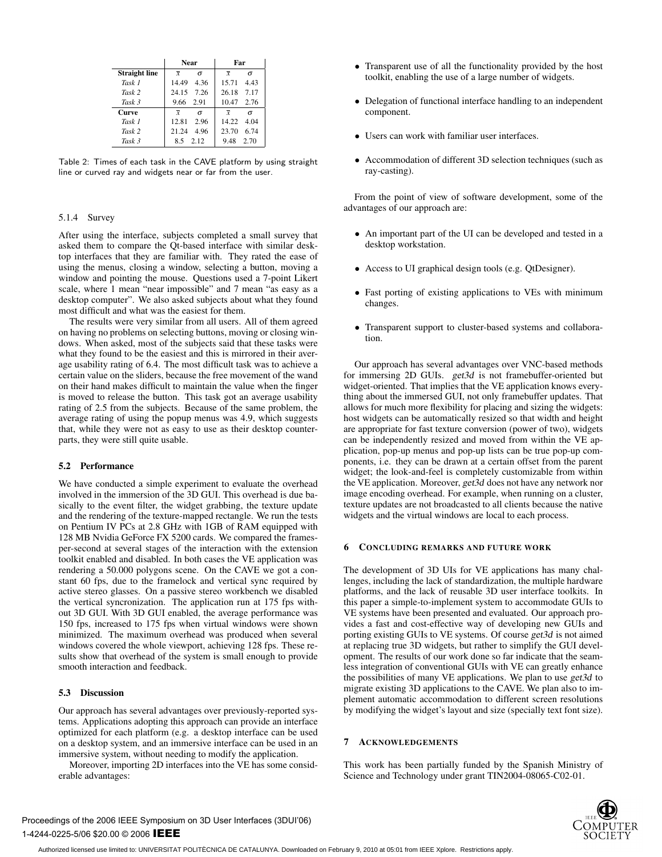|                      | <b>Near</b>    |          | Far        |          |
|----------------------|----------------|----------|------------|----------|
| <b>Straight line</b> | $\overline{r}$ | $\sigma$ | $\bar{r}$  | $\sigma$ |
| Task 1               | 14.49          | 4.36     | 15.71      | 4.43     |
| Task 2               | 24.15 7.26     |          | 26.18      | 7.17     |
| Task 3               | 9.66           | 2.91     | 10.47 2.76 |          |
| <b>Curve</b>         | $\bar{Y}$      | $\sigma$ | $\bar{Y}$  | $\sigma$ |
| Task 1               | 12.81          | 2.96     | 14.22      | 4.04     |
| Task 2               | 21.24          | 4.96     | 23.70      | 6.74     |
| Task 3               | 8.5            | 2.12     | 9.48       | 2.70     |

Table 2: Times of each task in the CAVE platform by using straight line or curved ray and widgets near or far from the user.

## 5.1.4 Survey

After using the interface, subjects completed a small survey that asked them to compare the Qt-based interface with similar desktop interfaces that they are familiar with. They rated the ease of using the menus, closing a window, selecting a button, moving a window and pointing the mouse. Questions used a 7-point Likert scale, where 1 mean "near impossible" and 7 mean "as easy as a desktop computer". We also asked subjects about what they found most difficult and what was the easiest for them.

The results were very similar from all users. All of them agreed on having no problems on selecting buttons, moving or closing windows. When asked, most of the subjects said that these tasks were what they found to be the easiest and this is mirrored in their average usability rating of 6.4. The most difficult task was to achieve a certain value on the sliders, because the free movement of the wand on their hand makes difficult to maintain the value when the finger is moved to release the button. This task got an average usability rating of 2.5 from the subjects. Because of the same problem, the average rating of using the popup menus was 4.9, which suggests that, while they were not as easy to use as their desktop counterparts, they were still quite usable.

#### 5.2 Performance

We have conducted a simple experiment to evaluate the overhead involved in the immersion of the 3D GUI. This overhead is due basically to the event filter, the widget grabbing, the texture update and the rendering of the texture-mapped rectangle. We run the tests on Pentium IV PCs at 2.8 GHz with 1GB of RAM equipped with 128 MB Nvidia GeForce FX 5200 cards. We compared the framesper-second at several stages of the interaction with the extension toolkit enabled and disabled. In both cases the VE application was rendering a 50.000 polygons scene. On the CAVE we got a constant 60 fps, due to the framelock and vertical sync required by active stereo glasses. On a passive stereo workbench we disabled the vertical syncronization. The application run at 175 fps without 3D GUI. With 3D GUI enabled, the average performance was 150 fps, increased to 175 fps when virtual windows were shown minimized. The maximum overhead was produced when several windows covered the whole viewport, achieving 128 fps. These results show that overhead of the system is small enough to provide smooth interaction and feedback.

#### 5.3 Discussion

Our approach has several advantages over previously-reported systems. Applications adopting this approach can provide an interface optimized for each platform (e.g. a desktop interface can be used on a desktop system, and an immersive interface can be used in an immersive system, without needing to modify the application.

Moreover, importing 2D interfaces into the VE has some considerable advantages:

- Transparent use of all the functionality provided by the host toolkit, enabling the use of a large number of widgets.
- Delegation of functional interface handling to an independent component.
- Users can work with familiar user interfaces.
- Accommodation of different 3D selection techniques (such as ray-casting).

From the point of view of software development, some of the advantages of our approach are:

- An important part of the UI can be developed and tested in a desktop workstation.
- Access to UI graphical design tools (e.g. QtDesigner).
- Fast porting of existing applications to VEs with minimum changes.
- Transparent support to cluster-based systems and collaboration.

Our approach has several advantages over VNC-based methods for immersing 2D GUIs. get3d is not framebuffer-oriented but widget-oriented. That implies that the VE application knows everything about the immersed GUI, not only framebuffer updates. That allows for much more flexibility for placing and sizing the widgets: host widgets can be automatically resized so that width and height are appropriate for fast texture conversion (power of two), widgets can be independently resized and moved from within the VE application, pop-up menus and pop-up lists can be true pop-up components, i.e. they can be drawn at a certain offset from the parent widget; the look-and-feel is completely customizable from within the VE application. Moreover, get3d does not have any network nor image encoding overhead. For example, when running on a cluster, texture updates are not broadcasted to all clients because the native widgets and the virtual windows are local to each process.

## 6 CONCLUDING REMARKS AND FUTURE WORK

The development of 3D UIs for VE applications has many challenges, including the lack of standardization, the multiple hardware platforms, and the lack of reusable 3D user interface toolkits. In this paper a simple-to-implement system to accommodate GUIs to VE systems have been presented and evaluated. Our approach provides a fast and cost-effective way of developing new GUIs and porting existing GUIs to VE systems. Of course get3d is not aimed at replacing true 3D widgets, but rather to simplify the GUI development. The results of our work done so far indicate that the seamless integration of conventional GUIs with VE can greatly enhance the possibilities of many VE applications. We plan to use get3d to migrate existing 3D applications to the CAVE. We plan also to implement automatic accommodation to different screen resolutions by modifying the widget's layout and size (specially text font size).

## 7 ACKNOWLEDGEMENTS

This work has been partially funded by the Spanish Ministry of Science and Technology under grant TIN2004-08065-C02-01.



Proceedings of the 2006 IEEE Symposium on 3D User Interfaces (3DUI'06) 1-4244-0225-5/06 \$20.00 © 2006 IEEE